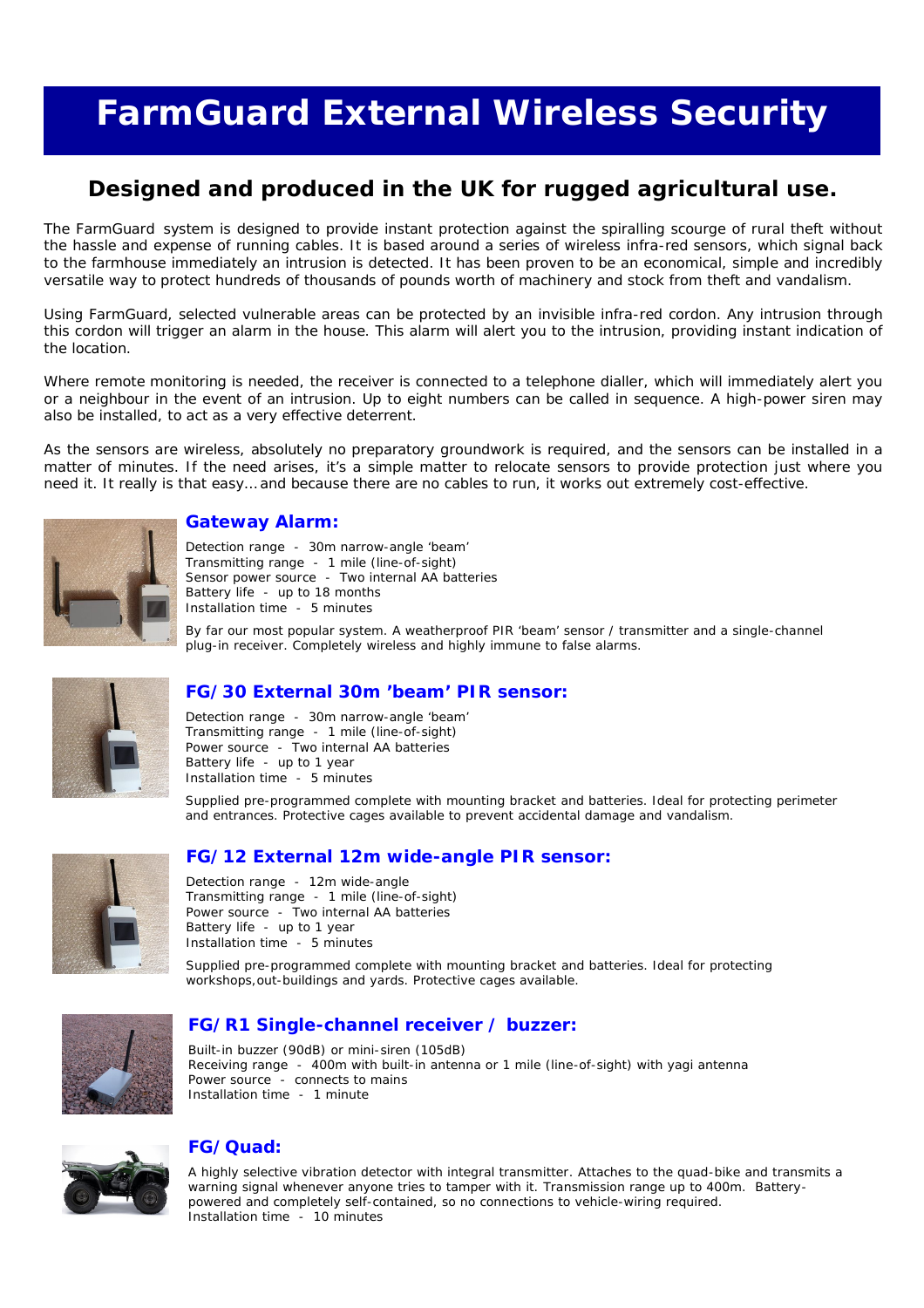## **FarmGuard External Wireless Security**

## **Designed and produced in the UK for rugged agricultural use.**

The FarmGuard system is designed to provide instant protection against the spiralling scourge of rural theft without the hassle and expense of running cables. It is based around a series of wireless infra-red sensors, which signal back to the farmhouse immediately an intrusion is detected. It has been proven to be an economical, simple and incredibly versatile way to protect hundreds of thousands of pounds worth of machinery and stock from theft and vandalism.

Using FarmGuard, selected vulnerable areas can be protected by an invisible infra-red cordon. Any intrusion through this cordon will trigger an alarm in the house. This alarm will alert you to the intrusion, providing instant indication of the location.

Where remote monitoring is needed, the receiver is connected to a telephone dialler, which will immediately alert you or a neighbour in the event of an intrusion. Up to eight numbers can be called in sequence. A high-power siren may also be installed, to act as a very effective deterrent.

As the sensors are wireless, absolutely no preparatory groundwork is required, and the sensors can be installed in a matter of minutes. If the need arises, it's a simple matter to relocate sensors to provide protection just where you need it. It really is that easy… and because there are no cables to run, it works out extremely cost-effective.



## **Gateway Alarm:**

Detection range - 30m narrow-angle 'beam' Transmitting range - 1 mile (line-of-sight) Sensor power source - Two internal AA batteries Battery life - up to 18 months Installation time - 5 minutes

By far our most popular system. A weatherproof PIR 'beam' sensor / transmitter and a single-channel plug-in receiver. Completely wireless and highly immune to false alarms.



## **FG/30 External 30m 'beam' PIR sensor:**

Detection range - 30m narrow-angle 'beam' Transmitting range - 1 mile (line-of-sight) Power source - Two internal AA batteries Battery life - up to 1 year Installation time - 5 minutes

Supplied pre-programmed complete with mounting bracket and batteries. Ideal for protecting perimeter and entrances. Protective cages available to prevent accidental damage and vandalism.



## **FG/12 External 12m wide-angle PIR sensor:**

Detection range - 12m wide-angle Transmitting range - 1 mile (line-of-sight) Power source - Two internal AA batteries Battery life - up to 1 year Installation time - 5 minutes

Supplied pre-programmed complete with mounting bracket and batteries. Ideal for protecting workshops,out-buildings and yards. Protective cages available.



## **FG/R1 Single-channel receiver / buzzer:**

Built-in buzzer (90dB) or mini-siren (105dB) Receiving range - 400m with built-in antenna or 1 mile (line-of-sight) with yagi antenna Power source - connects to mains Installation time - 1 minute



## **FG/Quad:**

A highly selective vibration detector with integral transmitter. Attaches to the quad-bike and transmits a warning signal whenever anyone tries to tamper with it. Transmission range up to 400m. Batterypowered and completely self-contained, so no connections to vehicle-wiring required. Installation time - 10 minutes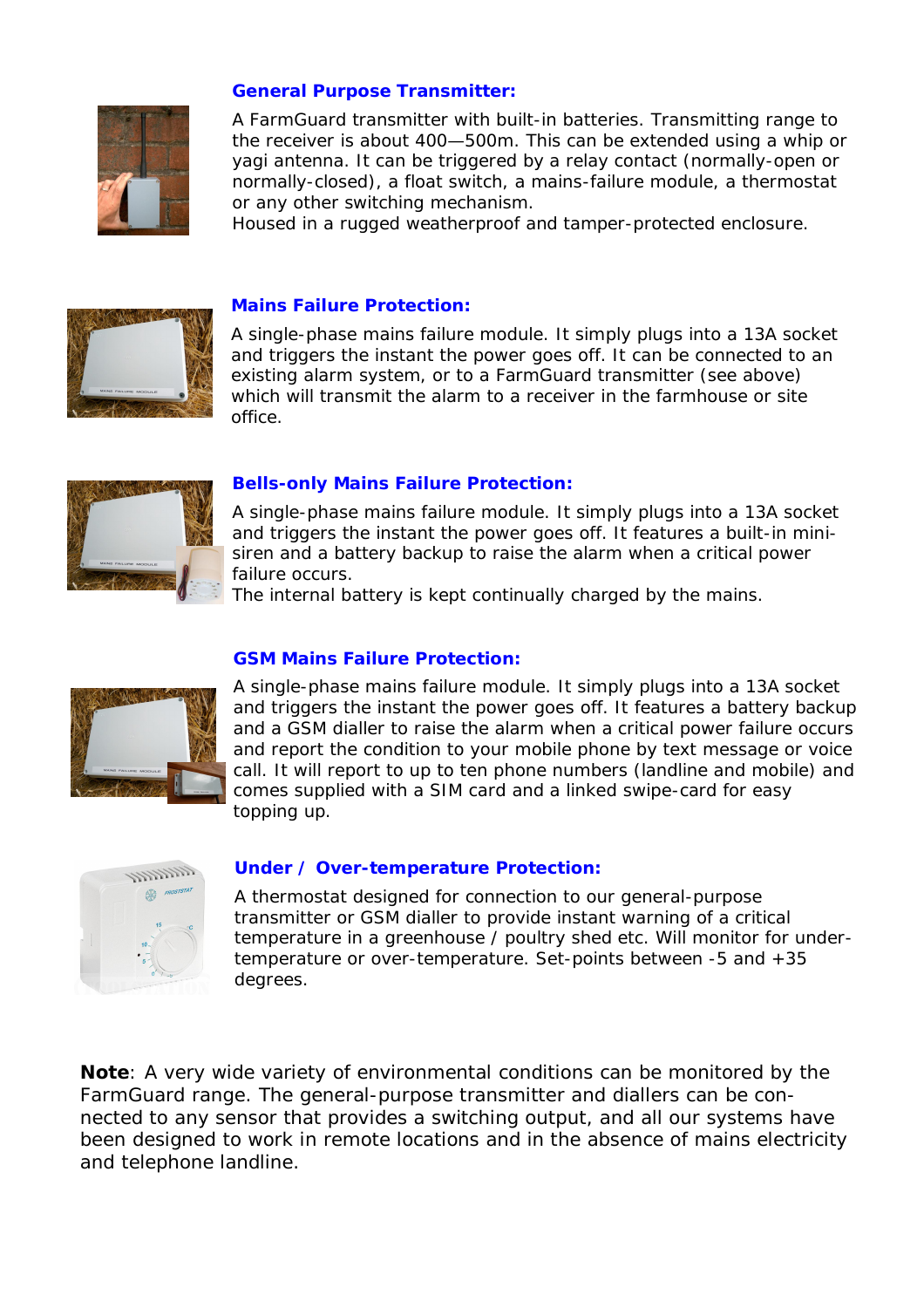

## **General Purpose Transmitter:**

A FarmGuard transmitter with built-in batteries. Transmitting range to the receiver is about 400—500m. This can be extended using a whip or yagi antenna. It can be triggered by a relay contact (normally-open or normally-closed), a float switch, a mains-failure module, a thermostat or any other switching mechanism.

Housed in a rugged weatherproof and tamper-protected enclosure.



#### **Mains Failure Protection:**

A single-phase mains failure module. It simply plugs into a 13A socket and triggers the instant the power goes off. It can be connected to an existing alarm system, or to a FarmGuard transmitter (see above) which will transmit the alarm to a receiver in the farmhouse or site office.



## **Bells-only Mains Failure Protection:**

A single-phase mains failure module. It simply plugs into a 13A socket and triggers the instant the power goes off. It features a built-in minisiren and a battery backup to raise the alarm when a critical power failure occurs.

The internal battery is kept continually charged by the mains.



#### **GSM Mains Failure Protection:**

A single-phase mains failure module. It simply plugs into a 13A socket and triggers the instant the power goes off. It features a battery backup and a GSM dialler to raise the alarm when a critical power failure occurs and report the condition to your mobile phone by text message or voice call. It will report to up to ten phone numbers (landline and mobile) and comes supplied with a SIM card and a linked swipe-card for easy topping up.



#### **Under / Over-temperature Protection:**

A thermostat designed for connection to our general-purpose transmitter or GSM dialler to provide instant warning of a critical temperature in a greenhouse / poultry shed etc. Will monitor for undertemperature or over-temperature. Set-points between -5 and +35 degrees.

**Note**: A very wide variety of environmental conditions can be monitored by the FarmGuard range. The general-purpose transmitter and diallers can be connected to any sensor that provides a switching output, and all our systems have been designed to work in remote locations and in the absence of mains electricity and telephone landline.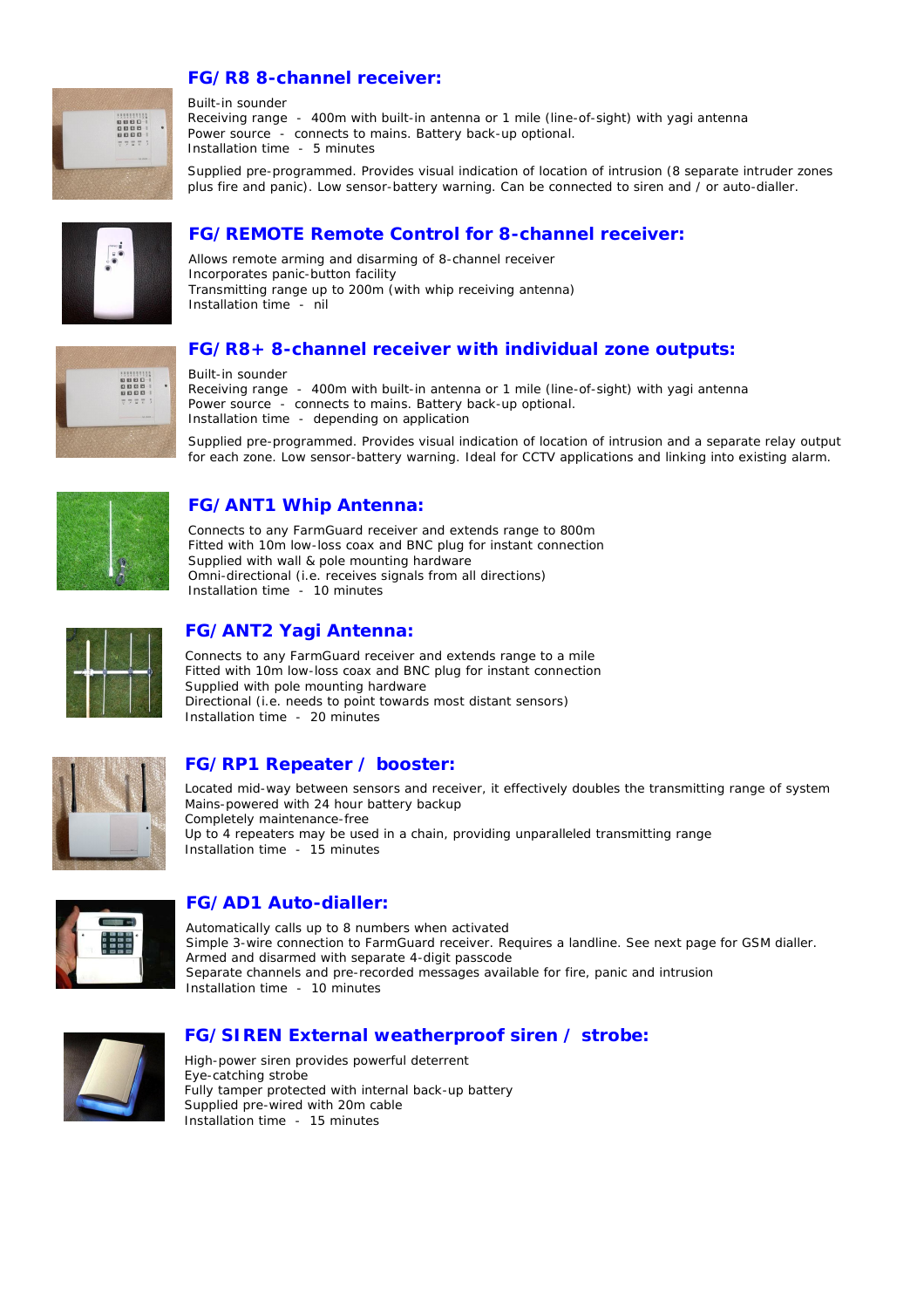## **FG/R8 8-channel receiver:**



Built-in sounder Receiving range - 400m with built-in antenna or 1 mile (line-of-sight) with yagi antenna Power source - connects to mains. Battery back-up optional. Installation time - 5 minutes

Supplied pre-programmed. Provides visual indication of location of intrusion (8 separate intruder zones plus fire and panic). Low sensor-battery warning. Can be connected to siren and / or auto-dialler.



## **FG/REMOTE Remote Control for 8-channel receiver:**

Allows remote arming and disarming of 8-channel receiver Incorporates panic-button facility Transmitting range up to 200m (with whip receiving antenna) Installation time - nil

## **FG/R8+ 8-channel receiver with individual zone outputs:**



Built-in sounder Receiving range - 400m with built-in antenna or 1 mile (line-of-sight) with yagi antenna Power source - connects to mains. Battery back-up optional. Installation time - depending on application

Supplied pre-programmed. Provides visual indication of location of intrusion and a separate relay output for each zone. Low sensor-battery warning. Ideal for CCTV applications and linking into existing alarm.



## **FG/ANT1 Whip Antenna:**

Connects to any FarmGuard receiver and extends range to 800m Fitted with 10m low-loss coax and BNC plug for instant connection Supplied with wall & pole mounting hardware Omni-directional (i.e. receives signals from all directions) Installation time - 10 minutes



## **FG/ANT2 Yagi Antenna:**

Connects to any FarmGuard receiver and extends range to a mile Fitted with 10m low-loss coax and BNC plug for instant connection Supplied with pole mounting hardware Directional (i.e. needs to point towards most distant sensors) Installation time - 20 minutes



## **FG/RP1 Repeater / booster:**

Located mid-way between sensors and receiver, it effectively doubles the transmitting range of system Mains-powered with 24 hour battery backup Completely maintenance-free Up to 4 repeaters may be used in a chain, providing unparalleled transmitting range Installation time - 15 minutes



## **FG/AD1 Auto-dialler:**

Automatically calls up to 8 numbers when activated Simple 3-wire connection to FarmGuard receiver. Requires a landline. See next page for GSM dialler. Armed and disarmed with separate 4-digit passcode Separate channels and pre-recorded messages available for fire, panic and intrusion Installation time - 10 minutes



## **FG/SIREN External weatherproof siren / strobe:**

High-power siren provides powerful deterrent Eye-catching strobe Fully tamper protected with internal back-up battery Supplied pre-wired with 20m cable Installation time - 15 minutes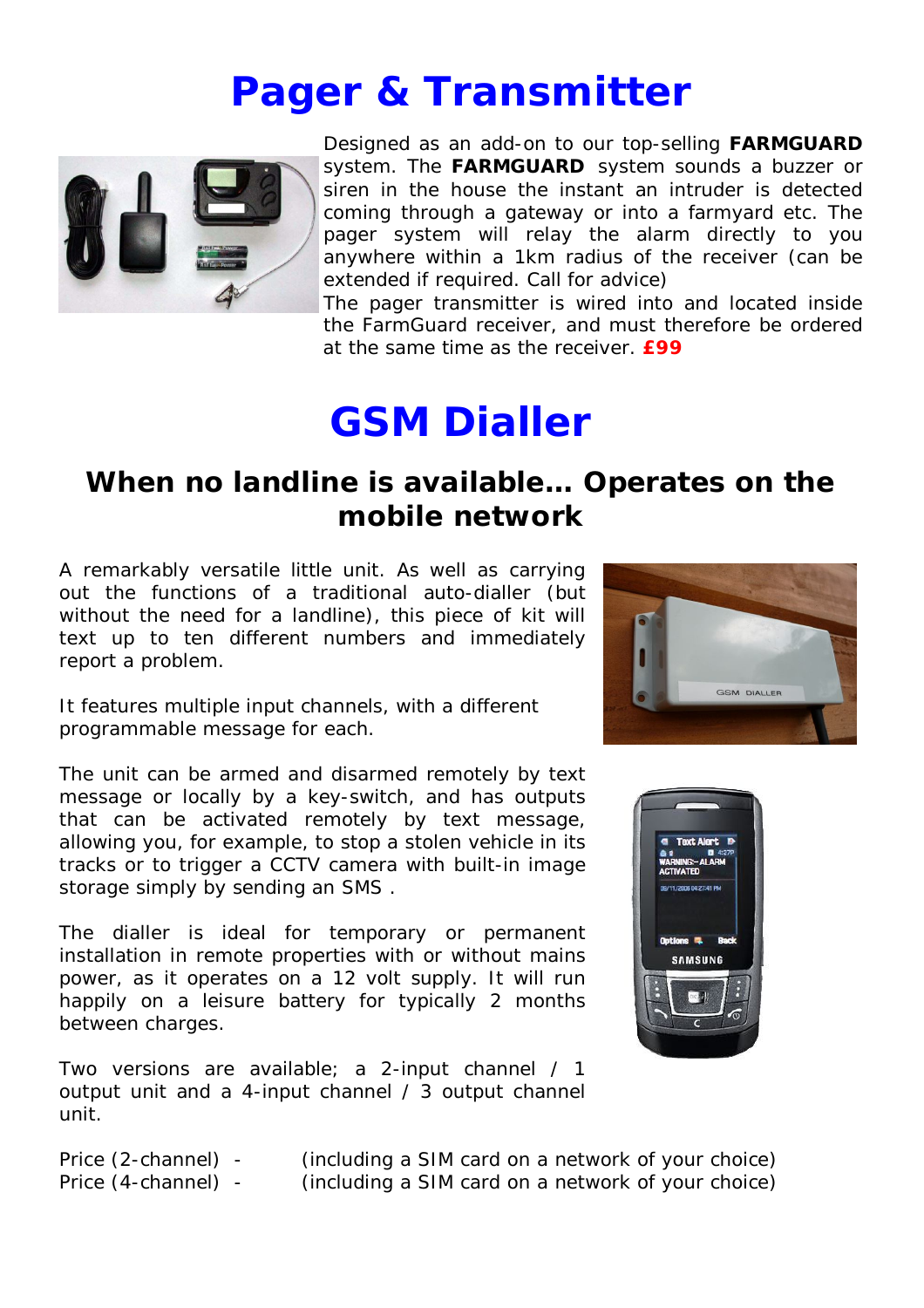## **Pager & Transmitter**



Designed as an add-on to our top-selling *FARMGUARD*  system. The *FARMGUARD* system sounds a buzzer or siren in the house the instant an intruder is detected coming through a gateway or into a farmyard etc. The pager system will relay the alarm directly to you anywhere within a 1km radius of the receiver (can be extended if required. Call for advice)

The pager transmitter is wired into and located inside the FarmGuard receiver, and must therefore be ordered at the same time as the receiver. **£99**

## **GSM Dialler**

## **When no landline is available… Operates on the mobile network**

A remarkably versatile little unit. As well as carrying out the functions of a traditional auto-dialler (but without the need for a landline), this piece of kit will text up to ten different numbers and immediately report a problem.

It features multiple input channels, with a different programmable message for each.

The unit can be armed and disarmed remotely by text message or locally by a key-switch, and has outputs that can be activated remotely by text message, allowing you, for example, to stop a stolen vehicle in its tracks or to trigger a CCTV camera with built-in image storage simply by sending an SMS .

The dialler is ideal for temporary or permanent installation in remote properties with or without mains power, as it operates on a 12 volt supply. It will run happily on a leisure battery for typically 2 months between charges.

Two versions are available; a 2-input channel / 1 output unit and a 4-input channel / 3 output channel unit.



Price (2-channel) - (including a SIM card on a network of your choice) Price (4-channel) - (including a SIM card on a network of your choice)